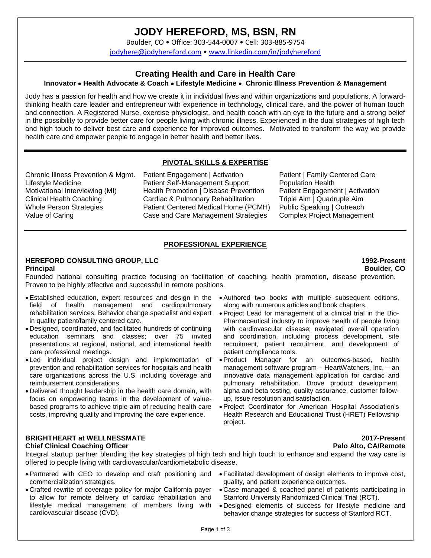# **JODY HEREFORD, MS, BSN, RN**

Boulder, CO • Office: 303-544-0007 • Cell: 303-885-9754

[jodyhere@jodyhereford.com](mailto:jodyhere@jodyhereford.com) • [www.linkedin.com/in/jodyhereford](http://www.linkedin.com/in/jodyhereford)

# **Creating Health and Care in Health Care**

# **Innovator** • **Health Advocate & Coach** • **Lifestyle Medicine** • **Chronic Illness Prevention & Management**

Jody has a passion for health and how we create it in individual lives and within organizations and populations. A forwardthinking health care leader and entrepreneur with experience in technology, clinical care, and the power of human touch and connection. A Registered Nurse, exercise physiologist, and health coach with an eye to the future and a strong belief in the possibility to provide better care for people living with chronic illness. Experienced in the dual strategies of high tech and high touch to deliver best care and experience for improved outcomes. Motivated to transform the way we provide health care and empower people to engage in better health and better lives.

# **PIVOTAL SKILLS & EXPERTISE**

Chronic Illness Prevention & Mgmt. Lifestyle Medicine Motivational Interviewing (MI) Clinical Health Coaching Whole Person Strategies Value of Caring

Patient Engagement | Activation Patient Self-Management Support Health Promotion | Disease Prevention Cardiac & Pulmonary Rehabilitation Patient Centered Medical Home (PCMH) Case and Care Management Strategies

Patient | Family Centered Care Population Health Patient Engagement | Activation Triple Aim | Quadruple Aim Public Speaking | Outreach Complex Project Management

# **PROFESSIONAL EXPERIENCE**

### **HEREFORD CONSULTING GROUP, LLC 1992-Present Principal Boulder, CO**

Founded national consulting practice focusing on facilitation of coaching, health promotion, disease prevention. Proven to be highly effective and successful in remote positions.

- Established education, expert resources and design in the field of health management and cardiopulmonary rehabilitation services. Behavior change specialist and expert in quality patient/family centered care.
- Designed, coordinated, and facilitated hundreds of continuing education seminars and classes; over 75 invited presentations at regional, national, and international health care professional meetings.
- Led individual project design and implementation of prevention and rehabilitation services for hospitals and health care organizations across the U.S. including coverage and reimbursement considerations.
- Delivered thought leadership in the health care domain, with focus on empowering teams in the development of valuebased programs to achieve triple aim of reducing health care costs, improving quality and improving the care experience.

# **BRIGHTHEART at WELLNESSMATE 2017-Present**

### **Chief Clinical Coaching Officer Palo Alto, CA/Remote**

Integral startup partner blending the key strategies of high tech and high touch to enhance and expand the way care is offered to people living with cardiovascular/cardiometabolic disease.

- Partnered with CEO to develop and craft positioning and commercialization strategies.
- Crafted rewrite of coverage policy for major California payer to allow for remote delivery of cardiac rehabilitation and lifestyle medical management of members living with cardiovascular disease (CVD).
- Authored two books with multiple subsequent editions, along with numerous articles and book chapters.
- Project Lead for management of a clinical trial in the Bio-Pharmaceutical industry to improve health of people living with cardiovascular disease; navigated overall operation and coordination, including process development, site recruitment, patient recruitment, and development of patient compliance tools.
- Product Manager for an outcomes-based, health management software program – HeartWatchers, Inc. – an innovative data management application for cardiac and pulmonary rehabilitation. Drove product development, alpha and beta testing, quality assurance, customer followup, issue resolution and satisfaction.
- Project Coordinator for American Hospital Association's Health Research and Educational Trust (HRET) Fellowship project.

- Facilitated development of design elements to improve cost, quality, and patient experience outcomes.
- Case managed & coached panel of patients participating in Stanford University Randomized Clinical Trial (RCT).
- Designed elements of success for lifestyle medicine and behavior change strategies for success of Stanford RCT.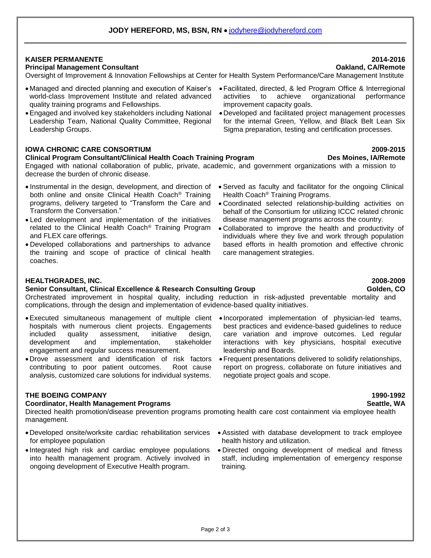# **KAISER PERMANENTE 2014-2016**

# **Principal Management Consultant Oakland, CA/Remote**

Oversight of Improvement & Innovation Fellowships at Center for Health System Performance/Care Management Institute

- Managed and directed planning and execution of Kaiser's world-class Improvement Institute and related advanced quality training programs and Fellowships.
- •Engaged and involved key stakeholders including National Leadership Team, National Quality Committee, Regional Leadership Groups.

# **IOWA CHRONIC CARE CONSORTIUM 2009-2015**

### **Clinical Program Consultant/Clinical Health Coach Training Program Des Moines, IA/Remote**

Engaged with national collaboration of public, private, academic, and government organizations with a mission to decrease the burden of chronic disease.

- Instrumental in the design, development, and direction of both online and onsite Clinical Health Coach® Training programs, delivery targeted to "Transform the Care and Transform the Conversation."
- Led development and implementation of the initiatives related to the Clinical Health Coach® Training Program and FLEX care offerings.
- Developed collaborations and partnerships to advance the training and scope of practice of clinical health coaches.
- **HEALTHGRADES, INC. 2008-2009**

### **Senior Consultant, Clinical Excellence & Research Consulting Group Golden, CO**

Orchestrated improvement in hospital quality, including reduction in risk-adjusted preventable mortality and complications, through the design and implementation of evidence-based quality initiatives.

- •Executed simultaneous management of multiple client Incorporated implementation of physician-led teams, hospitals with numerous client projects. Engagements included quality assessment, initiative design, development and implementation, stakeholder engagement and regular success measurement.
- •Drove assessment and identification of risk factors contributing to poor patient outcomes. Root cause analysis, customized care solutions for individual systems.

# **THE BOEING COMPANY 1990-1992**

### **Coordinator, Health Management Programs Seattle, WA**

Directed health promotion/disease prevention programs promoting health care cost containment via employee health management.

- •Developed onsite/worksite cardiac rehabilitation services for employee population
- Integrated high risk and cardiac employee populations into health management program. Actively involved in ongoing development of Executive Health program.
- •Facilitated, directed, & led Program Office & Interregional activities to achieve organizational performance improvement capacity goals.
- •Developed and facilitated project management processes for the internal Green, Yellow, and Black Belt Lean Six Sigma preparation, testing and certification processes.

### • Served as faculty and facilitator for the ongoing Clinical Health Coach® Training Programs.

- Coordinated selected relationship-building activities on behalf of the Consortium for utilizing ICCC related chronic disease management programs across the country.
- Collaborated to improve the health and productivity of individuals where they live and work through population based efforts in health promotion and effective chronic care management strategies.

- best practices and evidence-based guidelines to reduce care variation and improve outcomes. Led regular interactions with key physicians, hospital executive leadership and Boards.
- •Frequent presentations delivered to solidify relationships, report on progress, collaborate on future initiatives and negotiate project goals and scope.

# • Assisted with database development to track employee health history and utilization.

• Directed ongoing development of medical and fitness staff, including implementation of emergency response training.